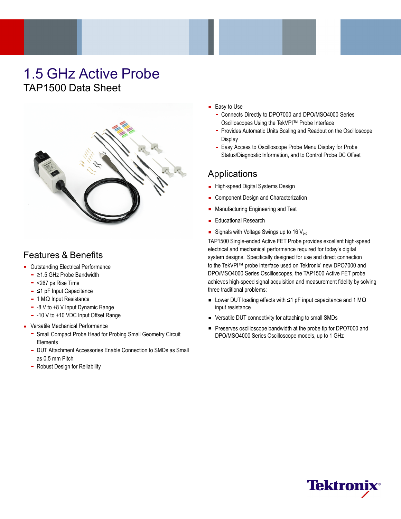# 1.5 GHz Active Probe TAP1500 Data Sheet



## Features & Benefits

- **Dutstanding Electrical Performance** 
	- ≥1.5 GHz Probe Bandwidth
	- <267 ps Rise Time
	- ≤1 pF Input Capacitance
	- 1 MΩ Input Resistance
	- -8 V to +8 V Input Dynamic Range
	- -10 V to +10 VDC Input Offset Range
- **Versatile Mechanical Performance** 
	- Small Compact Probe Head for Probing Small Geometry Circuit **Elements**
	- DUT Attachment Accessories Enable Connection to SMDs as Small as 0.5 mm Pitch
	- Robust Design for Reliability
- $\blacksquare$  Easy to Use
	- Connects Directly to DPO7000 and DPO/MSO4000 Series Oscilloscopes Using the TekVPI™ Probe Interface
	- Provides Automatic Units Scaling and Readout on the Oscilloscope **Display**
	- Easy Access to Oscilloscope Probe Menu Display for Probe  $\bar{\phantom{a}}$ Status/Diagnostic Information, and to Control Probe DC Offset

## **Applications**

- High-speed Digital Systems Design
- Component Design and Characterization
- **Manufacturing Engineering and Test**
- **Educational Research**
- Signals with Voltage Swings up to 16  $V_{\text{p-p}}$

TAP1500 Single-ended Active FET Probe provides excellent high-speed electrical and mechanical performance required for today's digital system designs. Specifically designed for use and direct connection to the TekVPI™ probe interface used on Tektronix' new DPO7000 and DPO/MSO4000 Series Oscilloscopes, the TAP1500 Active FET probe achieves high-speed signal acquisition and measurement fidelity by solving three traditional problems:

- Lower DUT loading effects with  $\leq 1$  pF input capacitance and 1 M $\Omega$ input resistance
- Versatile DUT connectivity for attaching to small SMDs
- Preserves oscilloscope bandwidth at the probe tip for DPO7000 and DPO/MSO4000 Series Oscilloscope models, up to 1 GHz

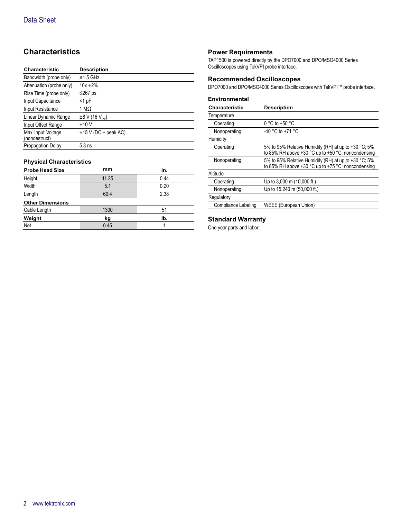## **Characteristics**

| <b>Characteristic</b>              | <b>Description</b>            |
|------------------------------------|-------------------------------|
| Bandwidth (probe only)             | $\geq$ 1.5 GHz                |
| Attenuation (probe only)           | $10x + 2%$                    |
| Rise Time (probe only)             | ≤267 ps                       |
| Input Capacitance                  | $<$ 1 pF                      |
| Input Resistance                   | 1 MΩ                          |
| Linear Dynamic Range               | $±8$ V (16 V <sub>p-p</sub> ) |
| Input Offset Range                 | ±10V                          |
| Max Input Voltage<br>(nondestruct) | $±15$ V (DC + peak AC)        |
| <b>Propagation Delay</b>           | $5.3$ ns                      |

#### **Physical Characteristics**

| <b>Probe Head Size</b>  | mm    | in.  |
|-------------------------|-------|------|
| Height                  | 11.25 | 0.44 |
| Width                   | 5.1   | 0.20 |
| Length                  | 60.4  | 2.38 |
| <b>Other Dimensions</b> |       |      |
| Cable Length            | 1300  | 51   |
| Weight                  | kg    | lb.  |
| Net                     | 0.45  |      |

#### **Power Requirements**

TAP1500 is powered directly by the DPO7000 and DPO/MSO4000 Series Oscilloscopes using TekVPI probe interface.

#### **Recommended Oscilloscopes**

DPO7000 and DPO/MSO4000 Series Oscilloscopes with TekVPI™ probe interface.

#### **Environmental**

| <b>Characteristic</b> | <b>Description</b>                                                                                               |
|-----------------------|------------------------------------------------------------------------------------------------------------------|
| Temperature           |                                                                                                                  |
| Operating             | $0 °C$ to +50 $°C$                                                                                               |
| Nonoperating          | -40 °C to +71 °C                                                                                                 |
| Humidity              |                                                                                                                  |
| Operating             | 5% to 95% Relative Humidity (RH) at up to $+30$ °C; 5%<br>to 85% RH above $+30$ °C up to $+50$ °C; noncondensing |
| Nonoperating          | 5% to 95% Relative Humidity (RH) at up to +30 °C; 5%<br>to 85% RH above +30 °C up to +75 °C; noncondensing       |
| Altitude              |                                                                                                                  |
| Operating             | Up to 3,000 m (10,000 ft.)                                                                                       |
| Nonoperating          | Up to 15,240 m (50,000 ft.)                                                                                      |
| Regulatory            |                                                                                                                  |
| Compliance Labeling   | WEEE (European Union)                                                                                            |

#### **Standard Warranty**

One year parts and labor.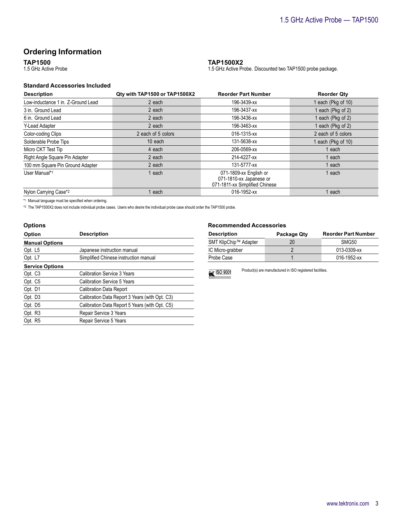### **Ordering Information**

**TAP1500**

1.5 GHz Active Probe

#### **Standard Accessories Included**

| <b>Description</b>                 | Qty with TAP1500 or TAP1500X2 | <b>Reorder Part Number</b>                                                          | <b>Reorder Qty</b> |
|------------------------------------|-------------------------------|-------------------------------------------------------------------------------------|--------------------|
| Low-inductance 1 in. Z-Ground Lead | 2 each                        | 196-3439-xx                                                                         | each (Pkg of 10)   |
| 3 in. Ground Lead                  | 2 each                        | 196-3437-xx                                                                         | each (Pkg of 2)    |
| 6 in. Ground Lead                  | 2 each                        | 196-3436-xx                                                                         | each (Pkg of 2)    |
| Y-Lead Adapter                     | 2 each                        | 196-3463-xx                                                                         | each (Pkg of 2)    |
| Color-coding Clips                 | 2 each of 5 colors            | 016-1315-xx                                                                         | 2 each of 5 colors |
| Solderable Probe Tips              | 10 each                       | 131-5638-xx                                                                         | each (Pkg of 10)   |
| Micro CKT Test Tip                 | 4 each                        | 206-0569-xx                                                                         | each               |
| Right Angle Square Pin Adapter     | 2 each                        | 214-4227-xx                                                                         | each               |
| 100 mm Square Pin Ground Adapter   | 2 each                        | 131-5777-xx                                                                         | each               |
| User Manual*1                      | each                          | 071-1809-xx English or<br>071-1810-xx Japanese or<br>071-1811-xx Simplified Chinese | each               |
| Nylon Carrying Case*2              | each                          | 016-1952-xx                                                                         | each               |

**TAP1500X2**

1.5 GHz Active Probe. Discounted two TAP1500 probe package.

\*1 Manual language must be specified when ordering.

\*2 The TAP1500X2 does not include individual probe cases. Users who desire the individual probe case should order the TAP1500 probe.

| <b>Options</b>         |                                                |  |
|------------------------|------------------------------------------------|--|
| Option                 | <b>Description</b>                             |  |
| <b>Manual Options</b>  |                                                |  |
| Opt. L5                | Japanese instruction manual                    |  |
| Opt. L7                | Simplified Chinese instruction manual          |  |
| <b>Service Options</b> |                                                |  |
| Opt. C <sub>3</sub>    | Calibration Service 3 Years                    |  |
| Opt. C5                | <b>Calibration Service 5 Years</b>             |  |
| Opt. D1                | <b>Calibration Data Report</b>                 |  |
| Opt. D <sub>3</sub>    | Calibration Data Report 3 Years (with Opt. C3) |  |
| Opt. D <sub>5</sub>    | Calibration Data Report 5 Years (with Opt. C5) |  |
| Opt. R3                | Repair Service 3 Years                         |  |
| Opt. R5                | Repair Service 5 Years                         |  |

#### **Recommended Accessories**

| <b>Description</b>    | Package Qty | <b>Reorder Part Number</b> |
|-----------------------|-------------|----------------------------|
| SMT KlipChip™ Adapter | 20          | SMG50                      |
| IC Micro-grabber      |             | 013-0309-xx                |
| Probe Case            |             | 016-1952-xx                |



Product(s) are manufactured in ISO registered facilities.